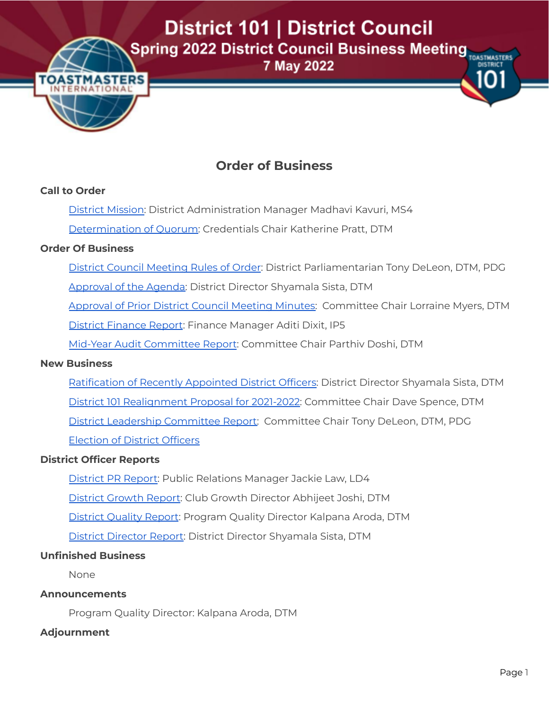District 101 | District Council **Spring 2022 District Council Business Meeting TOASTIMASTERS** 

7 May 2022



# **Order of Business**

## **Call to Order**

- District Mission: District Administration Manager Madhavi Kavuri, MS4
- Determination of Quorum: Credentials Chair Katherine Pratt, DTM

# **Order Of Business**

- District Council Meeting Rules of Order: District Parliamentarian Tony DeLeon, DTM, PDG
- Approval of the Agenda: District Director Shyamala Sista, DTM

[Approval](#page-4-0) of Prior District Council Meeting Minutes: Committee Chair Lorraine Myers, DTM

District Finance Report: Finance Manager Aditi Dixit, IP5

Mid-Year Audit Committee Report: Committee Chair Parthiv Doshi, DTM

## **New Business**

Ratification of Recently Appointed District Officers: District Director Shyamala Sista, DTM District 101 Realignment Proposal for 2021-2022: Committee Chair Dave Spence, DTM District Leadership Committee Report: Committee Chair Tony DeLeon, DTM, PDG Election of District Officers

## **District Officer Reports**

District PR Report: Public Relations Manager Jackie Law, LD4 District Growth Report: Club Growth Director Abhijeet Joshi, DTM District Quality Report: Program Quality Director Kalpana Aroda, DTM District Director Report: District Director Shyamala Sista, DTM

## **Unfinished Business**

None

## **Announcements**

Program Quality Director: Kalpana Aroda, DTM

## **Adjournment**

**DISTRICT**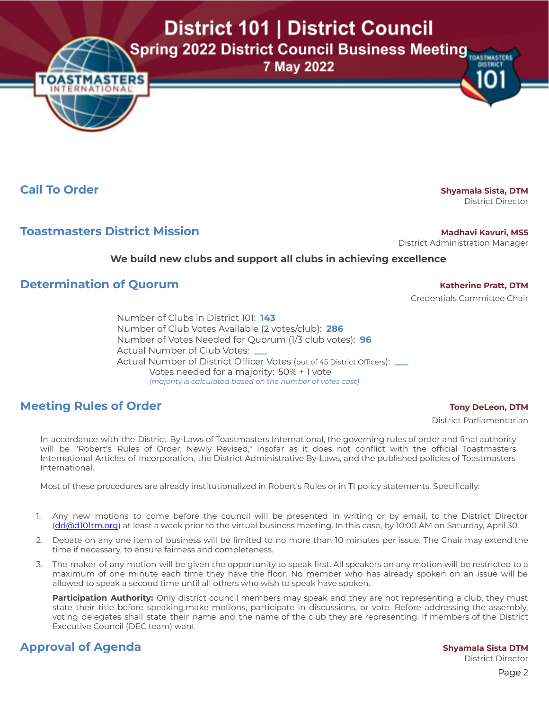District 101 | District Council

**Spring 2022 District Council Business Meeting TOASTIMASTERS** 

7 May 2022

**Call To Order Shyamala** Sista, DTM

**STMA NTERNA** 

District Director

**DISTRICT** 

# **Toastmasters District Mission Madhavi Madhavi Madhavi** Kavuri, MS5

District Administration Manager

### **We build new clubs and support all clubs in achieving excellence**

# **Determination of Quorum Katherine Katherine Pratt,** DTM

Credentials Committee Chair

Number of Clubs in District 101: **143** Number of Club Votes Available (2 votes/club): **286** Number of Votes Needed for Quorum (1/3 club votes): **96** Actual Number of Club Votes: **\_\_\_** Actual Number of District Officer Votes (out of 45 District Officers): **\_\_\_** Votes needed for a majority: 50% + 1 vote *(majority is calculated based on the number of votes cast)*

# **Meeting Rules of Order Tony DeLeon,** DTM

District Parliamentarian

In accordance with the District By-Laws of Toastmasters International, the governing rules of order and final authority will be "Robert's Rules of Order, Newly Revised," insofar as it does not conflict with the official Toastmasters International Articles of Incorporation, the District Administrative By-Laws, and the published policies of Toastmasters International.

Most of these procedures are already institutionalized in Robert's Rules or in TI policy statements. Specifically:

- 1. Any new motions to come before the council will be presented in writing or by email, to the District Director [\(dd@d101tm.org\)](mailto:dd@d101tm.org) at least a week prior to the virtual business meeting. In this case, by 10:00 AM on Saturday, April 30.
- 2. Debate on any one item of business will be limited to no more than 10 minutes per issue. The Chair may extend the time if necessary, to ensure fairness and completeness.
- 3. The maker of any motion will be given the opportunity to speak first. All speakers on any motion will be restricted to a maximum of one minute each time they have the floor. No member who has already spoken on an issue will be allowed to speak a second time until all others who wish to speak have spoken.

**Participation Authority:** Only district council members may speak and they are not representing a club, they must state their title before speaking.make motions, participate in discussions, or vote. Before addressing the assembly, voting delegates shall state their name and the name of the club they are representing. If members of the District Executive Council (DEC team) want

# **Approval of Agenda Shyamala** Sista DTM

District Director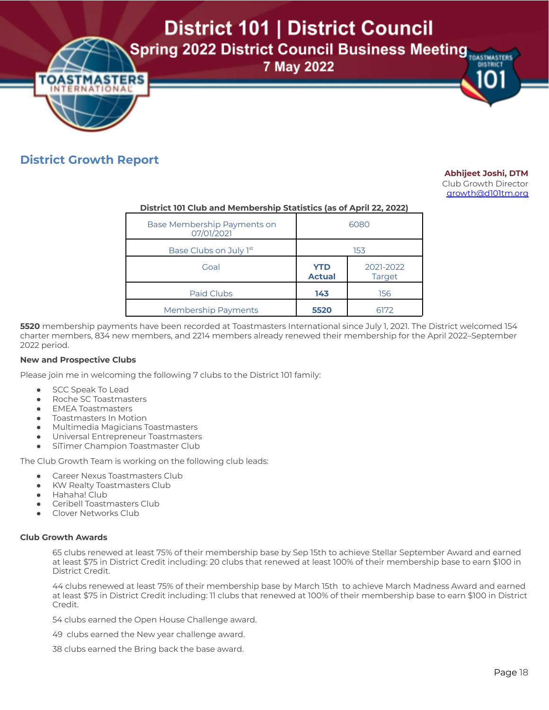District 101 | District Council

**Spring 2022 District Council Business Meeting TOASTIMASTERS** 

7 May 2022

# **OASTMASTERS INTERNAT** IONA

# **District Growth Report**

#### **Abhijeet Joshi, DTM**

**DISTRICT** 

Club Growth Director [growth@d101tm.org](mailto:growth@d101tm.org)

#### **District 101 Club and Membership Statistics (as of April 22, 2022)**

| Base Membership Payments on<br>07/01/2021 | 6080                        |                            |
|-------------------------------------------|-----------------------------|----------------------------|
| Base Clubs on July 1st                    | 153                         |                            |
| Goal                                      | <b>YTD</b><br><b>Actual</b> | 2021-2022<br><b>Target</b> |
| Paid Clubs                                | 143                         | 156                        |
| <b>Membership Payments</b>                | 5520                        | 6172                       |

**5520** membership payments have been recorded at Toastmasters International since July 1, 2021. The District welcomed 154 charter members, 834 new members, and 2214 members already renewed their membership for the April 2022–September 2022 period.

#### **New and Prospective Clubs**

Please join me in welcoming the following 7 clubs to the District 101 family:

- SCC Speak To Lead
- Roche SC Toastmasters
- EMEA Toastmasters
- **Toastmasters In Motion**
- Multimedia Magicians Toastmasters
- Universal Entrepreneur Toastmasters
- SiTimer Champion Toastmaster Club

The Club Growth Team is working on the following club leads:

- Career Nexus Toastmasters Club
- **KW Realty Toastmasters Club**
- Hahaha! Club
- Ceribell Toastmasters Club
- Clover Networks Club

#### **Club Growth Awards**

65 clubs renewed at least 75% of their membership base by Sep 15th to achieve Stellar September Award and earned at least \$75 in District Credit including: 20 clubs that renewed at least 100% of their membership base to earn \$100 in District Credit.

44 clubs renewed at least 75% of their membership base by March 15th to achieve March Madness Award and earned at least \$75 in District Credit including: 11 clubs that renewed at 100% of their membership base to earn \$100 in District Credit.

54 clubs earned the Open House Challenge award.

49 clubs earned the New year challenge award.

38 clubs earned the Bring back the base award.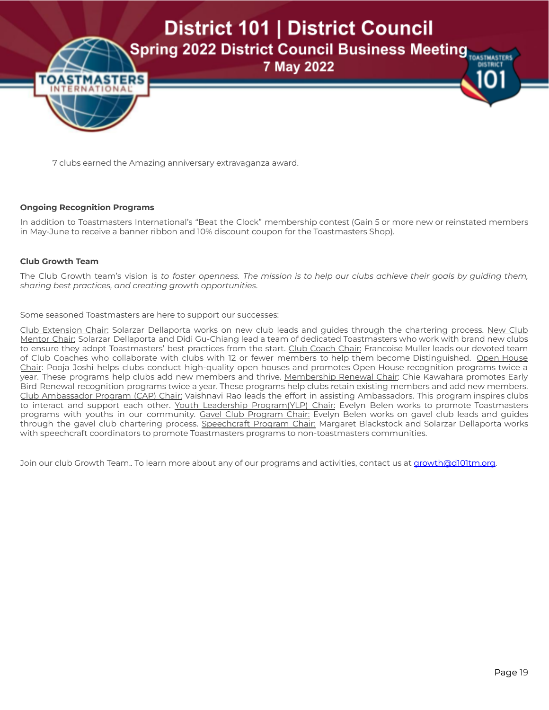

7 clubs earned the Amazing anniversary extravaganza award.

#### **Ongoing Recognition Programs**

In addition to Toastmasters International's "Beat the Clock" membership contest (Gain 5 or more new or reinstated members in May-June to receive a banner ribbon and 10% discount coupon for the Toastmasters Shop).

#### **Club Growth Team**

The Club Growth team's vision is *to foster openness. The mission is to help our clubs achieve their goals by guiding them, sharing best practices, and creating growth opportunities*.

Some seasoned Toastmasters are here to support our successes:

Club Extension Chair: Solarzar Dellaporta works on new club leads and guides through the chartering process. New Club Mentor Chair: Solarzar Dellaporta and Didi Gu-Chiang lead a team of dedicated Toastmasters who work with brand new clubs to ensure they adopt Toastmasters' best practices from the start. Club Coach Chair: Francoise Muller leads our devoted team of Club Coaches who collaborate with clubs with 12 or fewer members to help them become Distinguished. Open House Chair: Pooja Joshi helps clubs conduct high-quality open houses and promotes Open House recognition programs twice a year. These programs help clubs add new members and thrive. Membership Renewal Chair: Chie Kawahara promotes Early Bird Renewal recognition programs twice a year. These programs help clubs retain existing members and add new members. Club Ambassador Program (CAP) Chair: Vaishnavi Rao leads the effort in assisting Ambassadors. This program inspires clubs to interact and support each other. Youth Leadership Program(YLP) Chair: Evelyn Belen works to promote Toastmasters programs with youths in our community. Gavel Club Program Chair: Evelyn Belen works on gavel club leads and guides through the gavel club chartering process. Speechcraft Program Chair: Margaret Blackstock and Solarzar Dellaporta works with speechcraft coordinators to promote Toastmasters programs to non-toastmasters communities.

Join our club Growth Team.. To learn more about any of our programs and activities, contact us at [growth@d101tm.org.](mailto:growth@d101tm.org)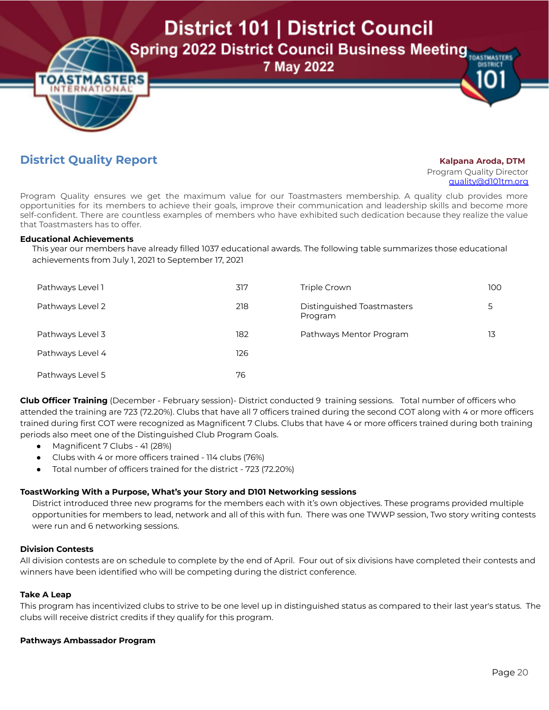District 101 | District Council **Spring 2022 District Council Business Meeting TOASTMASTERS DISTRICT** 

# 7 May 2022

# **District Quality Report Kalpana Aroda, DTM**

Program Quality Director [quality@d101tm.org](mailto:quality@d101tm.org)

Program Quality ensures we get the maximum value for our Toastmasters membership. A quality club provides more opportunities for its members to achieve their goals, improve their communication and leadership skills and become more self-confident. There are countless examples of members who have exhibited such dedication because they realize the value that Toastmasters has to offer.

#### **Educational Achievements**

This year our members have already filled 1037 educational awards. The following table summarizes those educational achievements from July 1, 2021 to September 17, 2021

| Pathways Level 1 | 317 | Triple Crown                          | 100 |
|------------------|-----|---------------------------------------|-----|
| Pathways Level 2 | 218 | Distinguished Toastmasters<br>Program | 5   |
| Pathways Level 3 | 182 | Pathways Mentor Program               | 13  |
| Pathways Level 4 | 126 |                                       |     |
| Pathways Level 5 | 76  |                                       |     |

**Club Officer Training** (December - February session)- District conducted 9 training sessions. Total number of officers who attended the training are 723 (72.20%). Clubs that have all 7 officers trained during the second COT along with 4 or more officers trained during first COT were recognized as Magnificent 7 Clubs. Clubs that have 4 or more officers trained during both training periods also meet one of the Distinguished Club Program Goals.

- Magnificent 7 Clubs 41 (28%)
- Clubs with 4 or more officers trained 114 clubs (76%)
- Total number of officers trained for the district 723 (72.20%)

## **ToastWorking With a Purpose, What's your Story and D101 Networking sessions**

District introduced three new programs for the members each with it's own objectives. These programs provided multiple opportunities for members to lead, network and all of this with fun. There was one TWWP session, Two story writing contests were run and 6 networking sessions.

#### **Division Contests**

All division contests are on schedule to complete by the end of April. Four out of six divisions have completed their contests and winners have been identified who will be competing during the district conference.

#### **Take A Leap**

This program has incentivized clubs to strive to be one level up in distinguished status as compared to their last year's status. The clubs will receive district credits if they qualify for this program.

#### **Pathways Ambassador Program**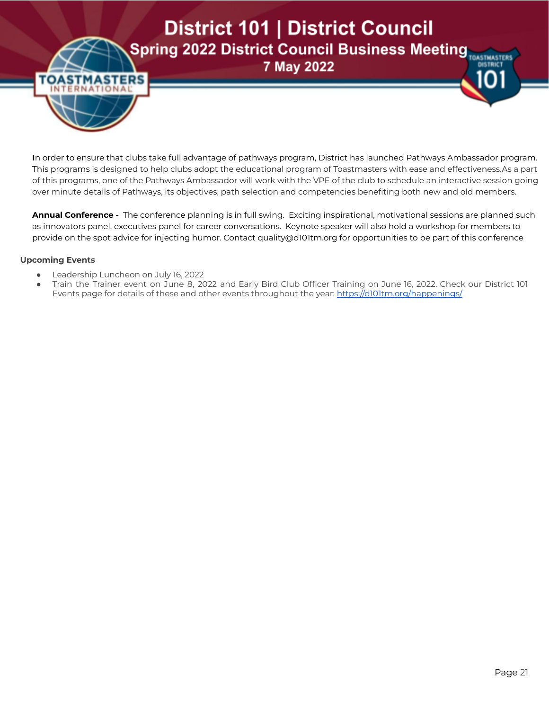# District 101 | District Council **Spring 2022 District Council Business Meeting TOASTIMASTERS**

7 May 2022

**I**n order to ensure that clubs take full advantage of pathways program, District has launched Pathways Ambassador program. This programs is designed to help clubs adopt the educational program of Toastmasters with ease and effectiveness.As a part of this programs, one of the Pathways Ambassador will work with the VPE of the club to schedule an interactive session going over minute details of Pathways, its objectives, path selection and competencies benefiting both new and old members.

**Annual Conference -** The conference planning is in full swing. Exciting inspirational, motivational sessions are planned such as innovators panel, executives panel for career conversations. Keynote speaker will also hold a workshop for members to provide on the spot advice for injecting humor. Contact quality@d101tm.org for opportunities to be part of this conference

#### **Upcoming Events**

**OASTMA** 

**NTERN** 

51

- Leadership Luncheon on July 16, 2022
- Train the Trainer event on June 8, 2022 and Early Bird Club Officer Training on June 16, 2022. Check our District 101 Events page for details of these and other events throughout the year: <https://d101tm.org/happenings/>

**DISTRICT**